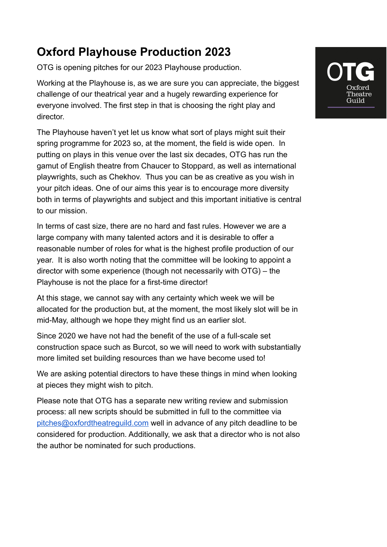## **Oxford Playhouse Production 2023**

OTG is opening pitches for our 2023 Playhouse production.

Working at the Playhouse is, as we are sure you can appreciate, the biggest challenge of our theatrical year and a hugely rewarding experience for everyone involved. The first step in that is choosing the right play and director.

The Playhouse haven't yet let us know what sort of plays might suit their spring programme for 2023 so, at the moment, the field is wide open. In putting on plays in this venue over the last six decades, OTG has run the gamut of English theatre from Chaucer to Stoppard, as well as international playwrights, such as Chekhov. Thus you can be as creative as you wish in your pitch ideas. One of our aims this year is to encourage more diversity both in terms of playwrights and subject and this important initiative is central to our mission.

In terms of cast size, there are no hard and fast rules. However we are a large company with many talented actors and it is desirable to offer a reasonable number of roles for what is the highest profile production of our year. It is also worth noting that the committee will be looking to appoint a director with some experience (though not necessarily with OTG) – the Playhouse is not the place for a first-time director!

At this stage, we cannot say with any certainty which week we will be allocated for the production but, at the moment, the most likely slot will be in mid-May, although we hope they might find us an earlier slot.

Since 2020 we have not had the benefit of the use of a full-scale set construction space such as Burcot, so we will need to work with substantially more limited set building resources than we have become used to!

We are asking potential directors to have these things in mind when looking at pieces they might wish to pitch.

Please note that OTG has a separate new writing review and submission process: all new scripts should be submitted in full to the committee via [pitches@oxfordtheatreguild.com](mailto:pitches@oxfordtheatreguild.com) well in advance of any pitch deadline to be considered for production. Additionally, we ask that a director who is not also the author be nominated for such productions.

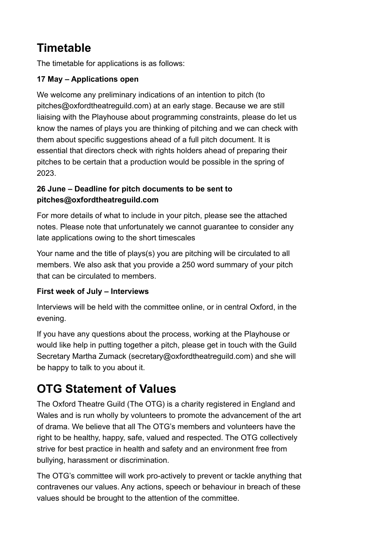## **Timetable**

The timetable for applications is as follows:

#### **17 May – Applications open**

We welcome any preliminary indications of an intention to pitch (to pitches@oxfordtheatreguild.com) at an early stage. Because we are still liaising with the Playhouse about programming constraints, please do let us know the names of plays you are thinking of pitching and we can check with them about specific suggestions ahead of a full pitch document. It is essential that directors check with rights holders ahead of preparing their pitches to be certain that a production would be possible in the spring of 2023.

#### **26 June – Deadline for pitch documents to be sent to pitches@oxfordtheatreguild.com**

For more details of what to include in your pitch, please see the attached notes. Please note that unfortunately we cannot guarantee to consider any late applications owing to the short timescales

Your name and the title of plays(s) you are pitching will be circulated to all members. We also ask that you provide a 250 word summary of your pitch that can be circulated to members.

#### **First week of July – Interviews**

Interviews will be held with the committee online, or in central Oxford, in the evening.

If you have any questions about the process, working at the Playhouse or would like help in putting together a pitch, please get in touch with the Guild Secretary Martha Zumack (secretary@oxfordtheatreguild.com) and she will be happy to talk to you about it.

## **OTG Statement of Values**

The Oxford Theatre Guild (The OTG) is a charity registered in England and Wales and is run wholly by volunteers to promote the advancement of the art of drama. We believe that all The OTG's members and volunteers have the right to be healthy, happy, safe, valued and respected. The OTG collectively strive for best practice in health and safety and an environment free from bullying, harassment or discrimination.

The OTG's committee will work pro-actively to prevent or tackle anything that contravenes our values. Any actions, speech or behaviour in breach of these values should be brought to the attention of the committee.